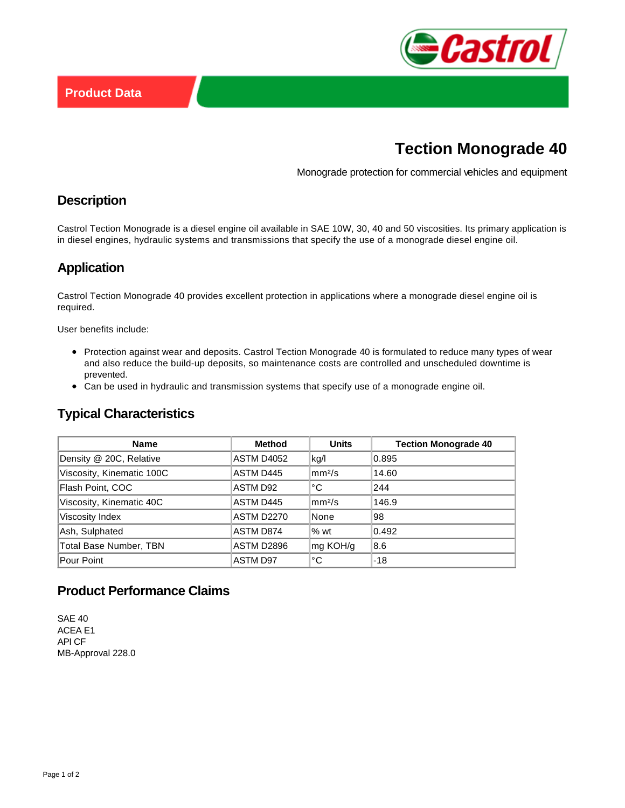

# **Tection Monograde 40**

Monograde protection for commercial vehicles and equipment

### **Description**

Castrol Tection Monograde is a diesel engine oil available in SAE 10W, 30, 40 and 50 viscosities. Its primary application is in diesel engines, hydraulic systems and transmissions that specify the use of a monograde diesel engine oil.

## **Application**

Castrol Tection Monograde 40 provides excellent protection in applications where a monograde diesel engine oil is required.

User benefits include:

- Protection against wear and deposits. Castrol Tection Monograde 40 is formulated to reduce many types of wear and also reduce the build-up deposits, so maintenance costs are controlled and unscheduled downtime is prevented.
- Can be used in hydraulic and transmission systems that specify use of a monograde engine oil.

## **Typical Characteristics**

| <b>Name</b>                   | <b>Method</b>   | <b>Units</b>         | <b>Tection Monograde 40</b> |
|-------------------------------|-----------------|----------------------|-----------------------------|
| Density @ 20C, Relative       | ASTM D4052      | kg/l                 | 0.895                       |
| Viscosity, Kinematic 100C     | ASTM D445       | $\rm{mm}^{2}/\rm{s}$ | 14.60                       |
| Flash Point, COC              | ASTM D92        | °C                   | 244                         |
| Viscosity, Kinematic 40C      | ASTM D445       | mm <sup>2</sup> /s   | 146.9                       |
| Viscosity Index               | ASTM D2270      | None                 | 98                          |
| Ash, Sulphated                | ASTM D874       | $%$ wt               | 0.492                       |
| <b>Total Base Number, TBN</b> | ASTM D2896      | mg KOH/g             | 8.6                         |
| Pour Point                    | <b>ASTM D97</b> | °C                   | $-18$                       |

## **Product Performance Claims**

SAE 40 ACEA E1 API CF MB-Approval 228.0